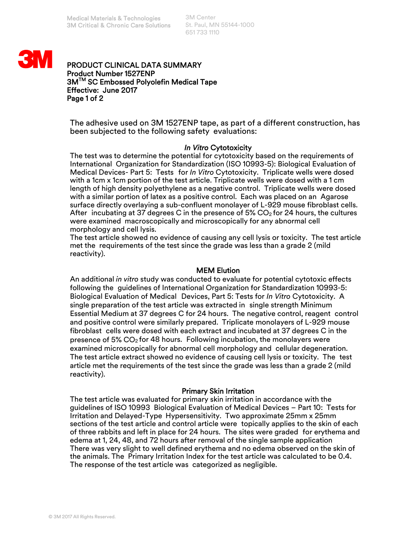3M Center St. Paul, MN 55144-1000 651 733 1110



# PRODUCT CLINICAL DATA SUMMARY Product Number 1527ENP 3MTM SC Embossed Polyolefin Medical Tape Effective: June 2017 Page 1 of 2

The adhesive used on 3M 1527ENP tape, as part of a different construction, has been subjected to the following safety evaluations:

## *In Vitro* Cytotoxicity

The test was to determine the potential for cytotoxicity based on the requirements of International Organization for Standardization (ISO 10993-5): Biological Evaluation of Medical Devices- Part 5: Tests for *In Vitro* Cytotoxicity. Triplicate wells were dosed with a 1cm x 1cm portion of the test article. Triplicate wells were dosed with a 1 cm length of high density polyethylene as a negative control. Triplicate wells were dosed with a similar portion of latex as a positive control. Each was placed on an Agarose surface directly overlaying a sub-confluent monolayer of L-929 mouse fibroblast cells. After incubating at 37 degrees C in the presence of 5%  $CO<sub>2</sub>$  for 24 hours, the cultures were examined macroscopically and microscopically for any abnormal cell morphology and cell lysis.

The test article showed no evidence of causing any cell lysis or toxicity. The test article met the requirements of the test since the grade was less than a grade 2 (mild reactivity).

#### MEM Elution

An additional *in vitro* study was conducted to evaluate for potential cytotoxic effects following the guidelines of International Organization for Standardization 10993-5: Biological Evaluation of Medical Devices, Part 5: Tests for *In Vitro* Cytotoxicity. A single preparation of the test article was extracted in single strength Minimum Essential Medium at 37 degrees C for 24 hours. The negative control, reagent control and positive control were similarly prepared. Triplicate monolayers of L-929 mouse fibroblast cells were dosed with each extract and incubated at 37 degrees C in the presence of  $5\%$  CO<sub>2</sub> for 48 hours. Following incubation, the monolayers were examined microscopically for abnormal cell morphology and cellular degeneration. The test article extract showed no evidence of causing cell lysis or toxicity. The test article met the requirements of the test since the grade was less than a grade 2 (mild reactivity).

## Primary Skin Irritation

The test article was evaluated for primary skin irritation in accordance with the guidelines of ISO 10993 Biological Evaluation of Medical Devices – Part 10: Tests for Irritation and Delayed-Type Hypersensitivity. Two approximate 25mm x 25mm sections of the test article and control article were topically applies to the skin of each of three rabbits and left in place for 24 hours. The sites were graded for erythema and edema at 1, 24, 48, and 72 hours after removal of the single sample application There was very slight to well defined erythema and no edema observed on the skin of the animals. The Primary Irritation Index for the test article was calculated to be 0.4. The response of the test article was categorized as negligible.